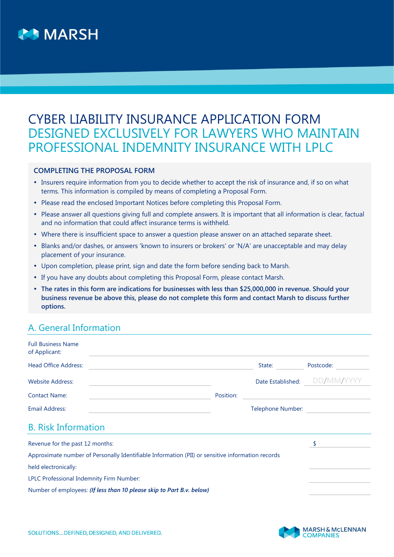

# CYBER LIABILITY INSURANCE APPLICATION FORM DESIGNED EXCLUSIVELY FOR LAWYERS WHO MAINTAIN PROFESSIONAL INDEMNITY INSURANCE WITH LPLC

### **COMPLETING THE PROPOSAL FORM**

- Insurers require information from you to decide whether to accept the risk of insurance and, if so on what terms. This information is compiled by means of completing a Proposal Form.
- Please read the enclosed Important Notices before completing this Proposal Form.
- Please answer all questions giving full and complete answers. It is important that all information is clear, factual and no information that could affect insurance terms is withheld.
- Where there is insufficient space to answer a question please answer on an attached separate sheet.
- Blanks and/or dashes, or answers 'known to insurers or brokers' or 'N/A' are unacceptable and may delay placement of your insurance.
- Upon completion, please print, sign and date the form before sending back to Marsh.
- If you have any doubts about completing this Proposal Form, please contact Marsh.
- **The rates in this form are indications for businesses with less than \$25,000,000 in revenue. Should your business revenue be above this, please do not complete this form and contact Marsh to discuss further options.**

### A. General Information

| <b>Full Business Name</b><br>of Applicant: |           |                   |                              |
|--------------------------------------------|-----------|-------------------|------------------------------|
| <b>Head Office Address:</b>                |           | State:            | Postcode:                    |
| <b>Website Address:</b>                    |           |                   | Date Established: DD/MM/YYYY |
| <b>Contact Name:</b>                       | Position: |                   |                              |
| Email Address:                             |           | Telephone Number: |                              |
|                                            |           |                   |                              |

## B. Risk Information

| Revenue for the past 12 months:                                                                  |  |
|--------------------------------------------------------------------------------------------------|--|
| Approximate number of Personally Identifiable Information (PII) or sensitive information records |  |
| held electronically:                                                                             |  |
| LPLC Professional Indemnity Firm Number:                                                         |  |
| Number of employees: (If less than 10 please skip to Part B.v. below)                            |  |

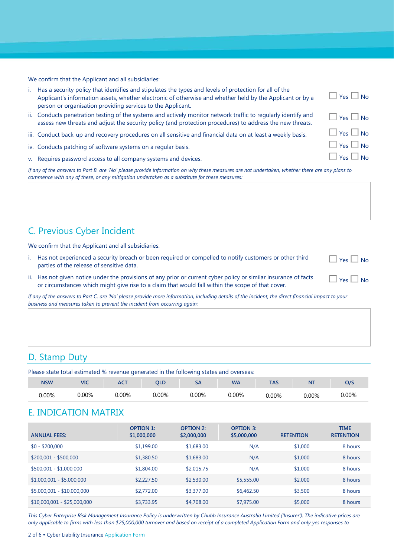We confirm that the Applicant and all subsidiaries:

| i. Has a security policy that identifies and stipulates the types and levels of protection for all of the |
|-----------------------------------------------------------------------------------------------------------|
| Applicant's information assets, whether electronic of otherwise and whether held by the Applicant or by a |
| person or organisation providing services to the Applicant.                                               |

- ii. Conducts penetration testing of the systems and actively monitor network traffic to regularly identify and assess new threats and adjust the security policy (and protection procedures) to address the new threats.
- iii. Conduct back-up and recovery procedures on all sensitive and financial data on at least a weekly basis.
- iv. Conducts patching of software systems on a regular basis.
- v. Requires password access to all company systems and devices.  $\Box$  Yes  $\Box$  Yes  $\Box$  No

*If any of the answers to Part B. are 'No' please provide information on why these measures are not undertaken, whether there are any plans to commence with any of these, or any mitigation undertaken as a substitute for these measures:* 

# C. Previous Cyber Incident

We confirm that the Applicant and all subsidiaries:

- i. Has not experienced a security breach or been required or compelled to notify customers or other third parties of the release of sensitive data.
- ii. Has not given notice under the provisions of any prior or current cyber policy or similar insurance of facts or circumstances which might give rise to a claim that would fall within the scope of that cover.

*If any of the answers to Part C. are 'No' please provide more information, including details of the incident, the direct financial impact to your business and measures taken to prevent the incident from occurring again:*

### D. Stamp Duty

Please state total estimated % revenue generated in the following states and overseas:

| <b>NSW</b> | VIC   | ---<br>ו שר | ---        |     | <b>WA</b> | 1 L P | N1                  |      |
|------------|-------|-------------|------------|-----|-----------|-------|---------------------|------|
| $0.00\%$   | ነ በበ% | $\Omega$    | በበ%<br>17c | 00% | 0.00%     | 00%   | $\cap$ <sup>0</sup> | .00% |

### E. INDICATION MATRIX

| <b>ANNUAL FEES:</b>         | <b>OPTION 1:</b><br>\$1,000,000 | <b>OPTION 2:</b><br>\$2,000,000 | <b>OPTION 3:</b><br>\$5,000,000 | <b>RETENTION</b> | <b>TIME</b><br><b>RETENTION</b> |
|-----------------------------|---------------------------------|---------------------------------|---------------------------------|------------------|---------------------------------|
| $$0 - $200,000$             | \$1,199.00                      | \$1,683.00                      | N/A                             | \$1,000          | 8 hours                         |
| $$200,001 - $500,000$       | \$1,380.50                      | \$1,683.00                      | N/A                             | \$1,000          | 8 hours                         |
| $$500,001 - $1,000,000$     | \$1,804.00                      | \$2,015.75                      | N/A                             | \$1,000          | 8 hours                         |
| $$1,000,001 - $5,000,000$   | \$2,227.50                      | \$2,530.00                      | \$5,555.00                      | \$2,000          | 8 hours                         |
| $$5,000,001 - $10,000,000$  | \$2,772.00                      | \$3,377.00                      | \$6,462.50                      | \$3,500          | 8 hours                         |
| $$10,000,001 - $25,000,000$ | \$3,733.95                      | \$4,708.00                      | \$7,975.00                      | \$5,000          | 8 hours                         |

*This Cyber Enterprise Risk Management Insurance Policy is underwritten by Chubb Insurance Australia Limited ('Insurer'). The indicative prices are only applicable to firms with less than \$25,000,000 turnover and based on receipt of a completed Application Form and only yes responses to* 

| $\vert$ Yes $\vert$ No<br>$\Box$ Yes $\Box$ No<br>$\Box$ Yes $\Box$ No<br>$\Box$ Yes $\Box$ No |
|------------------------------------------------------------------------------------------------|

 $\Box$  Yes  $\Box$  No

 $\Box$  Yes  $\Box$  No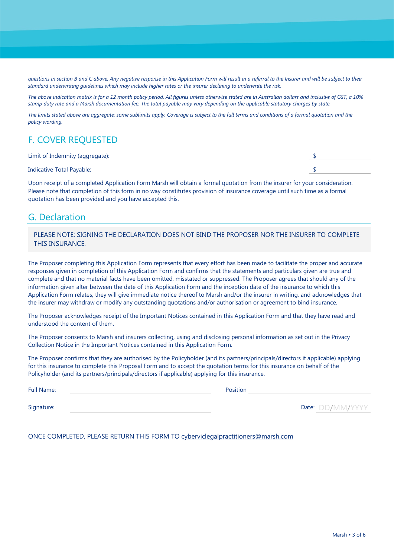*questions in section B and C above. Any negative response in this Application Form will result in a referral to the Insurer and will be subject to their standard underwriting guidelines which may include higher rates or the insurer declining to underwrite the risk.* 

*The above indication matrix is for a 12 month policy period. All figures unless otherwise stated are in Australian dollars and inclusive of GST, a 10% stamp duty rate and a Marsh documentation fee. The total payable may vary depending on the applicable statutory charges by state.*

*The limits stated above are aggregate; some sublimits apply. Coverage is subject to the full terms and conditions of a formal quotation and the policy wording.*

# F. COVER REQUESTED

| Limit of Indemnity (aggregate):  |  |
|----------------------------------|--|
| <b>Indicative Total Payable:</b> |  |

Upon receipt of a completed Application Form Marsh will obtain a formal quotation from the insurer for your consideration. Please note that completion of this form in no way constitutes provision of insurance coverage until such time as a formal quotation has been provided and you have accepted this.

# G. Declaration

PLEASE NOTE: SIGNING THE DECLARATION DOES NOT BIND THE PROPOSER NOR THE INSURER TO COMPLETE THIS INSURANCE.

The Proposer completing this Application Form represents that every effort has been made to facilitate the proper and accurate responses given in completion of this Application Form and confirms that the statements and particulars given are true and complete and that no material facts have been omitted, misstated or suppressed. The Proposer agrees that should any of the information given alter between the date of this Application Form and the inception date of the insurance to which this Application Form relates, they will give immediate notice thereof to Marsh and/or the insurer in writing, and acknowledges that the insurer may withdraw or modify any outstanding quotations and/or authorisation or agreement to bind insurance.

The Proposer acknowledges receipt of the Important Notices contained in this Application Form and that they have read and understood the content of them.

The Proposer consents to Marsh and insurers collecting, using and disclosing personal information as set out in the Privacy Collection Notice in the Important Notices contained in this Application Form.

The Proposer confirms that they are authorised by the Policyholder (and its partners/principals/directors if applicable) applying for this insurance to complete this Proposal Form and to accept the quotation terms for this insurance on behalf of the Policyholder (and its partners/principals/directors if applicable) applying for this insurance.

| <b>Full Name:</b> | Position |                         |
|-------------------|----------|-------------------------|
| Signature:        |          | <b>Date:</b> DD/MM/YYYY |

ONCE COMPLETED, PLEASE RETURN THIS FORM TO cyberviclegalpractitioners@marsh.com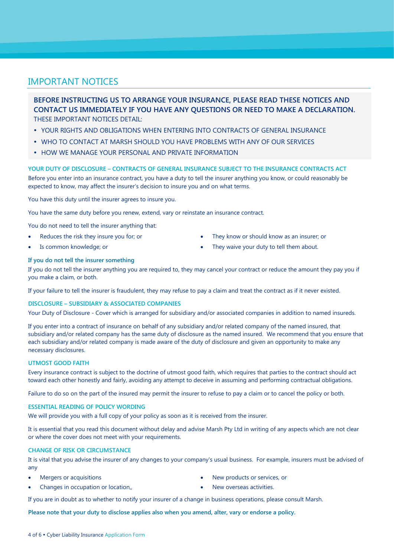### IMPORTANT NOTICES

**BEFORE INSTRUCTING US TO ARRANGE YOUR INSURANCE, PLEASE READ THESE NOTICES AND CONTACT US IMMEDIATELY IF YOU HAVE ANY QUESTIONS OR NEED TO MAKE A DECLARATION.** THESE IMPORTANT NOTICES DETAIL:

- YOUR RIGHTS AND OBLIGATIONS WHEN ENTERING INTO CONTRACTS OF GENERAL INSURANCE
- **WHO TO CONTACT AT MARSH SHOULD YOU HAVE PROBLEMS WITH ANY OF OUR SERVICES**
- **HOW WE MANAGE YOUR PERSONAL AND PRIVATE INFORMATION**

**YOUR DUTY OF DISCLOSURE – CONTRACTS OF GENERAL INSURANCE SUBJECT TO THE INSURANCE CONTRACTS ACT**  Before you enter into an insurance contract, you have a duty to tell the insurer anything you know, or could reasonably be expected to know, may affect the insurer's decision to insure you and on what terms.

You have this duty until the insurer agrees to insure you.

You have the same duty before you renew, extend, vary or reinstate an insurance contract.

You do not need to tell the insurer anything that:

- Reduces the risk they insure you for; or
- They know or should know as an insurer; or
- Is common knowledge; or

They waive your duty to tell them about.

#### **If you do not tell the insurer something**

If you do not tell the insurer anything you are required to, they may cancel your contract or reduce the amount they pay you if you make a claim, or both.

If your failure to tell the insurer is fraudulent, they may refuse to pay a claim and treat the contract as if it never existed.

#### **DISCLOSURE – SUBSIDIARY & ASSOCIATED COMPANIES**

Your Duty of Disclosure - Cover which is arranged for subsidiary and/or associated companies in addition to named insureds.

If you enter into a contract of insurance on behalf of any subsidiary and/or related company of the named insured, that subsidiary and/or related company has the same duty of disclosure as the named insured. We recommend that you ensure that each subsidiary and/or related company is made aware of the duty of disclosure and given an opportunity to make any necessary disclosures.

#### **UTMOST GOOD FAITH**

Every insurance contract is subject to the doctrine of utmost good faith, which requires that parties to the contract should act toward each other honestly and fairly, avoiding any attempt to deceive in assuming and performing contractual obligations.

Failure to do so on the part of the insured may permit the insurer to refuse to pay a claim or to cancel the policy or both.

#### **ESSENTIAL READING OF POLICY WORDING**

We will provide you with a full copy of your policy as soon as it is received from the insurer.

It is essential that you read this document without delay and advise Marsh Pty Ltd in writing of any aspects which are not clear or where the cover does not meet with your requirements.

#### **CHANGE OF RISK OR CIRCUMSTANCE**

It is vital that you advise the insurer of any changes to your company's usual business. For example, insurers must be advised of any

• Mergers or acquisitions

New products or services, or

• Changes in occupation or location,

New overseas activities.

If you are in doubt as to whether to notify your insurer of a change in business operations, please consult Marsh.

**Please note that your duty to disclose applies also when you amend, alter, vary or endorse a policy.**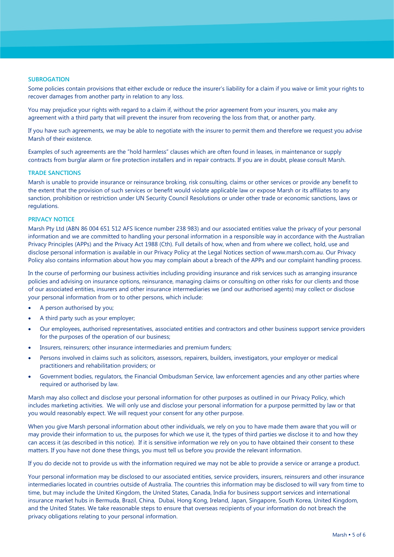#### **SUBROGATION**

Some policies contain provisions that either exclude or reduce the insurer's liability for a claim if you waive or limit your rights to recover damages from another party in relation to any loss.

You may prejudice your rights with regard to a claim if, without the prior agreement from your insurers, you make any agreement with a third party that will prevent the insurer from recovering the loss from that, or another party.

If you have such agreements, we may be able to negotiate with the insurer to permit them and therefore we request you advise Marsh of their existence.

Examples of such agreements are the "hold harmless" clauses which are often found in leases, in maintenance or supply contracts from burglar alarm or fire protection installers and in repair contracts. If you are in doubt, please consult Marsh.

#### **TRADE SANCTIONS**

Marsh is unable to provide insurance or reinsurance broking, risk consulting, claims or other services or provide any benefit to the extent that the provision of such services or benefit would violate applicable law or expose Marsh or its affiliates to any sanction, prohibition or restriction under UN Security Council Resolutions or under other trade or economic sanctions, laws or regulations.

#### **PRIVACY NOTICE**

Marsh Pty Ltd (ABN 86 004 651 512 AFS licence number 238 983) and our associated entities value the privacy of your personal information and we are committed to handling your personal information in a responsible way in accordance with the Australian Privacy Principles (APPs) and the Privacy Act 1988 (Cth). Full details of how, when and from where we collect, hold, use and disclose personal information is available in our Privacy Policy at the Legal Notices section of www.marsh.com.au. Our Privacy Policy also contains information about how you may complain about a breach of the APPs and our complaint handling process.

In the course of performing our business activities including providing insurance and risk services such as arranging insurance policies and advising on insurance options, reinsurance, managing claims or consulting on other risks for our clients and those of our associated entities, insurers and other insurance intermediaries we (and our authorised agents) may collect or disclose your personal information from or to other persons, which include:

- A person authorised by you;
- A third party such as your employer;
- Our employees, authorised representatives, associated entities and contractors and other business support service providers for the purposes of the operation of our business;
- Insurers, reinsurers; other insurance intermediaries and premium funders;
- Persons involved in claims such as solicitors, assessors, repairers, builders, investigators, your employer or medical practitioners and rehabilitation providers; or
- Government bodies, regulators, the Financial Ombudsman Service, law enforcement agencies and any other parties where required or authorised by law.

Marsh may also collect and disclose your personal information for other purposes as outlined in our Privacy Policy, which includes marketing activities. We will only use and disclose your personal information for a purpose permitted by law or that you would reasonably expect. We will request your consent for any other purpose.

When you give Marsh personal information about other individuals, we rely on you to have made them aware that you will or may provide their information to us, the purposes for which we use it, the types of third parties we disclose it to and how they can access it (as described in this notice). If it is sensitive information we rely on you to have obtained their consent to these matters. If you have not done these things, you must tell us before you provide the relevant information.

If you do decide not to provide us with the information required we may not be able to provide a service or arrange a product.

Your personal information may be disclosed to our associated entities, service providers, insurers, reinsurers and other insurance intermediaries located in countries outside of Australia. The countries this information may be disclosed to will vary from time to time, but may include the United Kingdom, the United States, Canada, India for business support services and international insurance market hubs in Bermuda, Brazil, China, Dubai, Hong Kong, Ireland, Japan, Singapore, South Korea, United Kingdom, and the United States. We take reasonable steps to ensure that overseas recipients of your information do not breach the privacy obligations relating to your personal information.